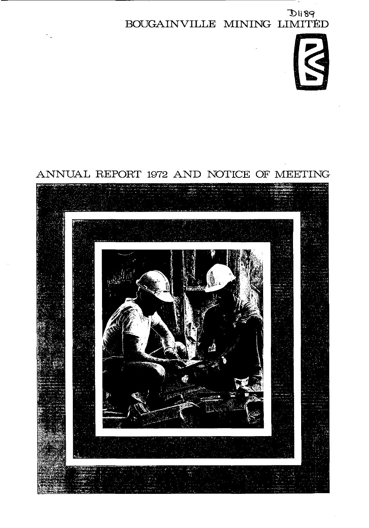## D1189 BOUGAINVILLE MINING LIMITED



# ANNUAL REPORT 1972 AND NOTICE OF MEETING

 $\frac{1}{2}$ 

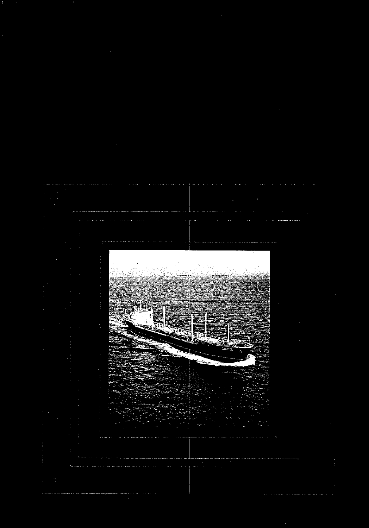en 1999<br>Brezho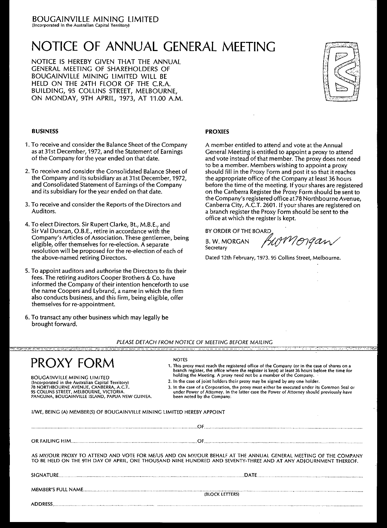# NOTICE OF ANNUAL GENERAL MEETING

NOTICE IS HEREBY GIVEN THAT THE ANNUAL GENERAL MEETING OF SHAREHOLDERS OF BOUGAINVILLE MINING LIMITED WILL BE HELD ON THE 24TH FLOOR OF THE C.R.A. BUILDING, 95 COLLINS STREET, MELBOURNE, ON MONDAY, 9TH APRIL, 1973, AT 11.00 A.M.



### BUSINESS

- 1. To receive and consider the Balance Sheet of the Company as at 31st December, 1972, and the Statement of Earnings of the Company for the year ended on that date.
- 2. To receive and consider the Consolidated Balance Sheet of the Company and its subsidiary as at 31st December, 1972, and Consolidated Statement of Earnings of the Company and its subsidiary for the year ended on that date.
- 3. To receive and consider the Reports of the Directors and Auditors.
- 4. To elect Directors. Sir Rupert Clarke, Bt., M.B.E., and Sir Val Duncan, O.B.E., retire in accordance with the Company's Articles of Association. These gentlemen, being eligible, offer themselves for re-election. A separate resolution will be proposed for the re-election of each of the above-named retiring Directors.
- 5. To appoint auditors and authorise the Directors to fix their fees. The retiring auditors Cooper Brothers & Co. have informed the Company of their intention henceforth to use the name Coopers and Lybrand, a name in which the firm also conducts business, and this firm, being eligible, offer themselves for re-appointment.
- 6. To transact any other business which may legally be brought forward.

### PROXIES

A member entitled to attend and vote at the Annual General Meeting is entitled to appoint a proxy to attend and vote instead of that member. The proxy does not need to be a member. Members wishing to appoint a proxy should fill in the Proxy Form and post it so that it reaches the appropriate office of the Company at least 36 hours before the time of the meeting. If your shares are registered on the Canberra Register the Proxy Form should be sent to the Company's registered office at 78 Northbourne Avenue, Canberra City, A.C.T. 2601. If your shares are registered on a branch register the Proxy Form should be sent to the office at which the register is kept.

BY ORDER OF THE BOARD

B. W. MORGAN *HUMMONGan* 

Dated 12th February, 1973. 95 Collins Street, Melbourne.

| PROXY FORM<br>BOUGAINVILLE MINING LIMITED<br>(Incorporated in the Australian Capital Territory)<br>78 NORTHBOURNE AVENUE, CANBERRA, A.C.T.<br>95 COLLINS STREET, MELBOURNE, VICTORIA.<br>PANGUNA, BOUGAINVILLE ISLAND, PAPUA NEW GUINEA.<br>I/WE, BEING (A) MEMBER(S) OF BOUGAINVILLE MINING LIMITED HEREBY APPOINT | <b>NOTES</b><br>1. This proxy must reach the registered office of the Company (or in the case of shares on a<br>branch register, the office where the register is kept) at least 36 hours before the time for<br>holding the Meeting. A proxy need not be a member of the Company.<br>2. In the case of joint holders their proxy may be signed by any one holder.<br>3. In the case of a Corporation, the proxy must either be executed under its Common Seal or<br>under Power of Attorney. In the latter case the Power of Attorney should previously have<br>been noted by the Company. |
|---------------------------------------------------------------------------------------------------------------------------------------------------------------------------------------------------------------------------------------------------------------------------------------------------------------------|---------------------------------------------------------------------------------------------------------------------------------------------------------------------------------------------------------------------------------------------------------------------------------------------------------------------------------------------------------------------------------------------------------------------------------------------------------------------------------------------------------------------------------------------------------------------------------------------|
|                                                                                                                                                                                                                                                                                                                     |                                                                                                                                                                                                                                                                                                                                                                                                                                                                                                                                                                                             |
|                                                                                                                                                                                                                                                                                                                     |                                                                                                                                                                                                                                                                                                                                                                                                                                                                                                                                                                                             |
|                                                                                                                                                                                                                                                                                                                     |                                                                                                                                                                                                                                                                                                                                                                                                                                                                                                                                                                                             |
|                                                                                                                                                                                                                                                                                                                     | AS MY/OUR PROXY TO ATTEND AND VOTE FOR ME/US AND ON MY/OUR BEHALF AT THE ANNUAL GENERAL MEETING OF THE COMPANY<br>TO BE HELD ON THE 9TH DAY OF APRIL, ONE THOUSAND NINE HUNDRED AND SEVENTY-THREE AND AT ANY ADJOURNMENT THEREOF.                                                                                                                                                                                                                                                                                                                                                           |
|                                                                                                                                                                                                                                                                                                                     |                                                                                                                                                                                                                                                                                                                                                                                                                                                                                                                                                                                             |
|                                                                                                                                                                                                                                                                                                                     | (BLOCK LETTERS)                                                                                                                                                                                                                                                                                                                                                                                                                                                                                                                                                                             |
|                                                                                                                                                                                                                                                                                                                     |                                                                                                                                                                                                                                                                                                                                                                                                                                                                                                                                                                                             |

PLEASE DETACH FROM NOTICE OF MEETING BEFORE MAILING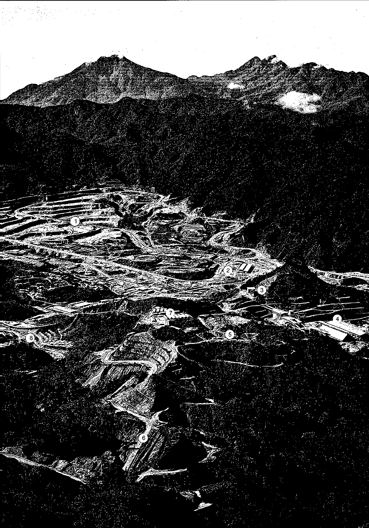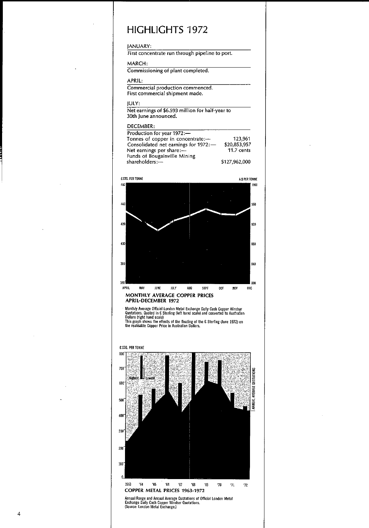## HIGHLIGHTS 1972

### JANUARY:

First concentrate **run** through pipeline to port.

### MARCH:

Commissioning of plant completed.

### APRIL:

Commercial production commenced. First commercial shipment made.

#### JULY:

Net earnings of \$6.593 million for half-year to 30th June announced.

### DECEMBER:

| Production for year 1972:-           |                   |
|--------------------------------------|-------------------|
| Tonnes of copper in concentrate:-    | 123.961           |
| Consolidated net earnings for 1972:- | \$20,853.957      |
| Net earnings per share: $-$          | <b>11.7 cents</b> |
| Funds of Bougainville Mining         |                   |
| shareholders:-                       | \$127,962,000     |



Monthly Average Official London Metal Exchange Daily Cash Copper Wirebar<br>Quotations. Quoted in £ Sterling (left hand scale) and converted to Australian<br>Dollars (right hand scale)<br>This graph shows the effects of the floatin

#### £ STG. PER TONNE



COPPER METAL PRICES 1963-1972 Annual Range and Annual Average Quotations of Official London Metal<br>Exchange Daily Cash Copper Wirebar Quotations.<br>(Source: London Metal Exchange.)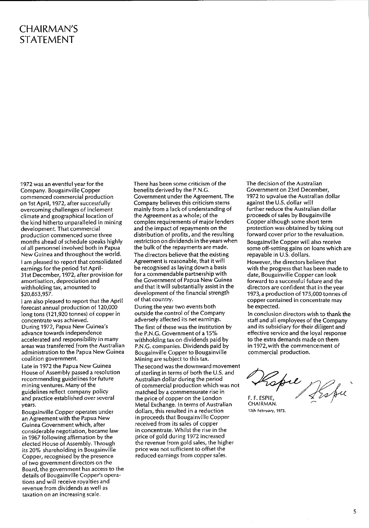## **CHAIRMAN'S STATEMENT**

**1972 was an eventful year for the**  Company. Bougainville Copper **commenced commercial production**  on 1st April, 1972, after successfully **overcoming challenges of inclement climate and** geographical location **of**  the kind hitherto unparalleled in mining **development. That commercial production commenced some three**  months ahead of schedule speaks highly of all personnel involved both in Papua New Guinea and throughout the world. I am pleased to report that consolidated earnings for the period 1st April-**31st December, 1972, after provision for amortisation, depreciation and**  withholding tax, amounted to \$20,853,957.

I am also pleased to report that the April forecast annual production of 120,000 long tons (121,920 tonnes) of copper in **concentrate was achieved. During 1972, Papua New Guinea's advance towards independence**  accelerated and responsibility in many **areas was transferred from the Australian administration to the Papua New Guinea coalition government.** 

Late in 1972 the Papua New Guinea House of Assembly passed a resolution **recommending guidelines for future mining ventures. Many of the**  guidelines reflect company policy **and practice established over several years.** 

**Bougainville Copper operates under**  an Agreement with the Papua New **Guinea Government which, after considerable negotiation, became law**  in 1967 following affirmation by the elected House of Assembly. Through **its 20% shareholding in Bougainville Copper, recognised by the presence of two government directors on the Board, the government has access to the details of Bougainville Copper's operations and will receive royalties and revenue from dividends as well as taxation on an increasing scale.** 

**There has been some criticism of the**  benefits derived by the P.N.G. **Government under the Agreement. The Company believes this criticism stems**  mainly from a lack of understanding of **the Agreement as a whole; of the**  complex requirements of major lenders **and the impact of repayments on the**  distribution of profits, and the resulting **restriction on dividends in** the years **when**  the bulk of the repayments are made. The directors believe that the existing **Agreement is reasonable, that it will be recognised as laying down a basis**  for a commendable partnership with **the Government of Papua New Guinea**  and that it will substantially assist in the development of the financial strength of that country.

During the year two events both outside the control of the Company adversely affected **its net earnings.** 

The first of these was the institution by the P.N.G. Government of a 15% withholding tax on dividends paid by P.N.G. companies. Dividends paid by Bougainville Copper to Bougainville **Mining are subject to this tax.** 

**The second was the downward movement**  of sterling in terms of both the U.S. and Australian dollar during the period **of commercial production which was not matched by a commensurate rise in**  the price of copper on the London Metal Exchange. In terms of Australian **dollars, this resulted in a reduction**  in proceeds that Bougainville Copper **received from its sales of copper in concentrate. Whilst the rise in the**  price of gold during 1972 increased the revenue from gold sales, the higher **price was not sufficient to offset the reduced earnings from copper sales.** 

**The decision of the Australian Government on 23rd December,**  1972 to upvalue the Australian dollar against the U.S. dollar will further reduce the Australian dollar proceeds of sales by Bougainville Copper although some short term **protection was obtained by taking out forward cover prior to the revaluation. Bougainville Copper will also receive some off-setting gains on loans which are**  repayable in U.S. dollars.

**However, the directors believe that**  with the progress that has been made to date, Bougainville Copper can look **forward to a successful future and the**  directors are confident that in the year 1973, a production of 175,000 tonnes of **copper contained in concentrate may**  be expected.

**In conclusion directors wish to thank the**  staff and all employees of the Company and its subsidiary for their diligent and **effective service and the loyal response**  to the extra demands made on them **in 1972,with the commencement of commercial production.** 

Kopie / Lafu

**12th February, 1973.**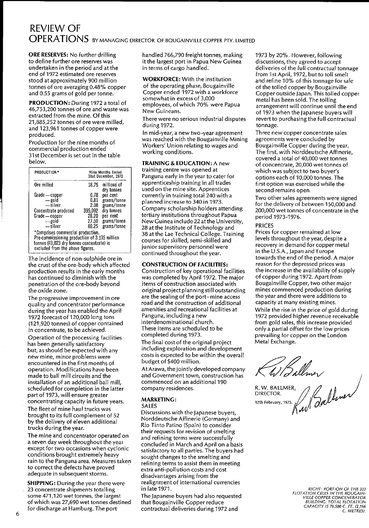# REVIEW OF OPERATIONS BY MANAGING DIRECTOR OF BOUGAINVllLE COPPER PTY.lIMITED

ORE RESERVES: No further drilling to define further ore reserves was undertaken in the period and at the end of 1972 estimated ore reserves stood at approximately 900 million tonnes of ore averaging 0.48% copper and 0.55 grams of gold per tonne.

PRODUCTION: During 1972 a total of 46,753,200 tonnes of ore and waste was extracted from the mine. Of this 21,885,252 tonnes of ore were milled, and 123,961 tonnes of copper were produced.

Production for the nine months of commercial production ended 31 st December is set out in the table below.

| PRODUCTION*                                   | <b>Nine Months Ended</b><br>31st December, 1972 |                           |  |  |
|-----------------------------------------------|-------------------------------------------------|---------------------------|--|--|
| Ore milled                                    | 18.75                                           | millions of<br>dry tonnes |  |  |
| Grade — copper                                | 0.78                                            | per cent                  |  |  |
| — gold                                        | 0.81                                            | grams/tonne               |  |  |
| — silver                                      | 2.08                                            | grams/tonne               |  |  |
| Concentrate produced                          | 395,092                                         | dry tonnes                |  |  |
| Grade — copper                                | 28.20                                           | per cent                  |  |  |
| — gold                                        | 27.50                                           | grams/tonne               |  |  |
| — silver                                      | 69.25                                           | grams/tonne               |  |  |
| *Comprises commercial production.             |                                                 |                           |  |  |
| Pre-commissioning production of 3.135 million |                                                 |                           |  |  |
| tonnes (43,023 dry tonnes concentrate) is     |                                                 |                           |  |  |

tonnes (43,023 dry tonnes concentrate) is excluded from the above figures.

The incidence of non-sulphide ore in the crust of the ore-body which affected production results in the early months has continued to diminish with the penetration of the ore-body beyond the oxide zone.

The progressive improvement in ore quality and concentrator performance during the year has enabled the April 1972 forecast of 120,000 long tons (121,920 tonnes) of copper contained in concentrate, to be achieved.

Operation of the processing facilities has been generally satisfactory but, as should be expected with any new mine, minor problems were encountered in the first months of operation. Modifications have been made to ball mill circuits and the installation of an additional ball mill, scheduled for completion in the latter part of 1973, will ensure greater concentrating capacity in future years. The fleet of mine haul trucks was brought to its full complement of 52 by the delivery of eleven additional trucks during the year.

The mine and concentrator operated on a seven day week throughout the year except for two occasions when cyclonic conditions brought extremely heavy rain to the Panguna area. Measures taken to correct the defects have proved adequate in subsequent storms.

SHIPPING: During the year there were 23 concentrate shipments totalling some 471,120 wet tonnes, the largest of which was 27,690 wet tonnes destined for discharge at Hamburg. The port

handled 766,790 freight tonnes, making it the largest port in Papua New Guinea in terms of cargo handled.

WORKFORCE: With the institution of the operating phase, Bougainville Copper ended 1972 with a workforce somewhat in excess of 3,000 employees, of which 70% were Papua New Guineans.

There were no serious industrial disputes during 1972.

In mid-year, a new two-year agreement was reached with the Bougainville Mining Workers' Union relating to wages and working conditions.

TRAINING & EDUCATION: A new training centre was opened at Panguna early in the year to cater for apprenticeship training in all trades used on the mine site. Apprentices currently in training total 240 with a planned increase to 340 in 1973. Company scholarship holders attending tertiary institutions throughout Papua New Guinea include 22 at the University, 28 at the Institute of Technology and 38 at the Lae Technical College. Training courses for skilled, semi-skilled and junior supervisory personnel were continued throughout the year.

### CONSTRUCTION OF FACILITIES:

Construction of key operational facilities was completed by April 1972. The major items of construction associated with original project planning still outstanding are the sealing of the port- mine access road and the construction of additional amenities and recreational facilities at Panguna, including a new interdenominational church. These items are scheduled to be completed during 1973.

The final cost of the original project including exploration and development costs is expected to be within the overall budget of \$400 million.

At Arawa, the jointly developed company and Government town, construction has commenced on an additional 190 company residences.

### MARKETING:

### SALES

Discussions with the Japanese buyers, Norddeutsche Affinerie (Germany) and Rio Tinto Patino (Spain) to consider their requests for revision of smelting and refining terms were successfully concluded in March and April on a basis satisfactory to all parties. The buyers had sought changes to the smelting and refining terms to assist them in meeting extra anti-pollution costs and cost disadvantages arising from the realignment of international currencies in late 1971.

The Japanese buyers had also requested that Bougainville Copper reduce contractual deliveries during 1972 and

1973 by 20%. However, following discussions, they agreed to accept deliveries of the full contractual tonnage from 1st April, 1972, but to toll smelt and refine 10% of this tonnage for sale of the tolled copper by Bougainville Copper outside Japan. This tolled copper metal has been sold. The tolling arrangement will continue until the end of 1973 when the Japanese buyers will revert to purchasing the full contractual tonnage.

Three new copper concentrate sales agreements were concluded by Bougainville Copper during the year. The first, with Norddeutsche Affinerie, covered a total of 40,000 wet tonnes of concentrate, 20,000 wet tonnes of which was subject to two buyer's options each of 10,000 tonnes. The first option was exercised while the second remains open.

Two other sales agreements were signed for the delivery of between 150,000 and 200,000 wet tonnes of concentrate in the period 1973-1976.

### PRICES

Prices for copper remained at low levels throughout the year, despite a recovery in demand for copper metal in the U.s.A., Japan and Europe towards the end of the period. A major reason for the depressed prices was the increase in the availability of supply of copper during 1972. Apart from Bougainville Copper, two other major mines commenced production during the year and there were additions to capacity at many existing mines.

While the rise in the price of gold during 1972 provided higher revenue receivable from gold sales, this increase provided only a partial offset for the low prices prevailing for copper on the london Metal Exchange.

R. W. BALLMERt DIRECTOR. 12th February, 1973.

RIGHT: PORTION OF THE 333<br>FLOTATION CELLS IN THE BOUGAIN-<br>VILLE COPPER CONCENTRATOR<br>BUILDING. TOTAL FLOTATION<br>CAPACITY IS 76,500 C. FT. (2,166<br>C. FT. (2,166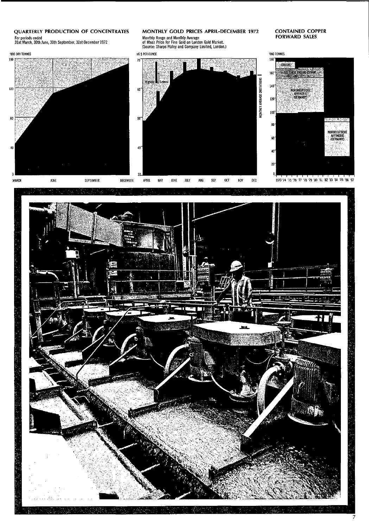### QUARTERLY PRODUCTION OF CONCENTRATES

For periods ended<br>31st March, 30th June, 30th September, 31st December 1972

.<br>June

SEPTEMBER

#### '000 DRY TONNES 160

 $120$ 

80

MARCH



MODING ange and Monthly Ave and<br>Monthly Range and Monthly Average<br>of Mean Price for Fine Gold on London Gold Market.<br>(Source: Sharps Pixley and Company Limited, London.)

US \$ PER OUNCE

 $\overline{\mathcal{U}}$ 

60

 $40^{\circ}$ 

 $\overline{3}$ 

DECEMBER

X V.







NORDDEUTSCHE<br>AFFINERIE<br>(GERMANY)

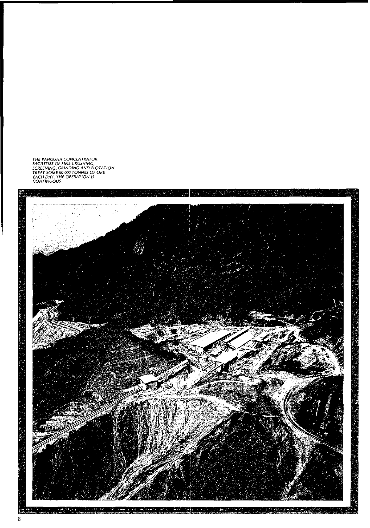

THE PANGUNA CONCENTRATOR<br>FACILITIES OF FINE CRUSHING,<br>SCREENING, GRINDING AND FLOTATION<br>TREAT SOME 80,000 TONNES OF ORE<br>EACH DAY. THE OPERATION IS<br>CONTINUOUS.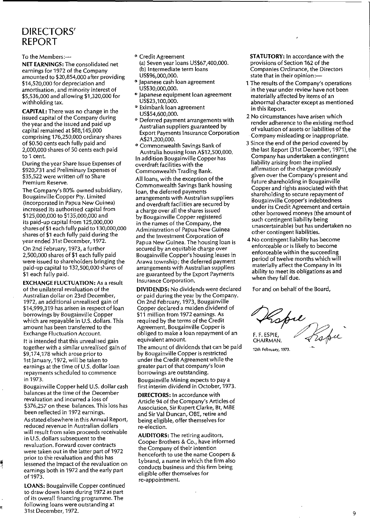# **DIRECTORS' REPORT**

### To the Members:-

**NET EARNINGS:** The consolidated net earnings for 1972 of the Company amounted to \$20,854,000 after providing \$14,520,000 for depreciation and **amortisation I and minority interest of**  \$5,536,000 and allowing \$1,320,000 for withholding tax.

**CAPITAL:** There was no change in the issued capital of the Company during the year and the issued and paid up capital remained at \$88,145,000 comprising 176,250,000 ordinary shares of \$0.50 cents each fully paid and 2,000,000 shares of 50 cents each paid **to 1 cent.** 

**During the year Share Issue Expenses of**  \$920,731 and Preliminary Expenses of \$35,522 were written off to Share **Premium Reserve.** 

**The Company's 80% owned subsidiary,**  Bougainville Copper Pty. Limited (incorporated in Papua New Guinea) **increased its authorised capital from**  \$125,000,000 to \$135,000,000 and its paid-up capital from 125,000,000 shares of \$1 each fully paid to 130,000,000 shares of \$1 each fully paid during the year ended 31st December, 1972.

On 2nd February, 1973, a further 2,500,000 shares of \$1 each fully paid **were issued to shareholders bringing the**  paid-up capital to 132,500,000 shares of \$1 each fully paid.

**EXCHANGE FLUCTUATION:** As a result of the unilateral revaluation of the **Australian dollar on 23rd December, 1972, an additional unrealised gain of**  \$14,999,319 has arisen in respect of loan borrowings by Bougainville Copper which are repayable in U.S. dollars. This **amount has been transferred to the Exchange Fluctuation Account.**  It is intended that this unrealised gain **together with a similar unrealised gain of**  \$9,174,178 which arose prior to 1st January, 1972, will be taken to **earnings at the time of U.S. dollar loan repayments scheduled to commence**  in 1973.

Bougainville Copper held U.S. dollar cash balances at the time of the December **revaluation and incurred a loss of**  \$376,257 on these balances. This loss has been reflected in 1972 earnings.

**As stated elsewhere in** this Annual **Report, reduced revenue in Australian dollars will result from sales proceeds receivable**  in U.s. dollars subsequent to the **revaluation. Forward cover contracts**  were taken out in the latter part of 1972 **prior to the revaluation and this has lessened the impact of the revaluation on**  earnings both in 1972 and the early part of 1973.

**LOANS:** Bougainville Copper continued **to draw down loans during 1972 as part**  of its overall financing programme. The **following loans were outstanding at**  31st December, 1972.

- **o Credit Agreement** 
	- (a) Seven year loans US\$67,400,000. (b) Intermediate term loans U5\$96,000,000.
- **o Japanese cash loan agreement**  US\$30,000,000.
- **\$ Japanese equipment loan agreement**  US\$23,100,000.
- <sup>~</sup>**Eximbank loan agreement**  US\$54,600,000.
- **<sup>Q</sup>Deferred payment arrangements with Australian suppliers guaranteed by Export Payments Insurance Corporation**  A\$21 ,200,000.

• Commonwealth Savings Bank of Australia housing loan A\$12,500,000. In addition Bougainville Copper has overdraft facilities with the Commonwealth Trading Bank.

All loans, with the exception of the Commonwealth Savings Bank housing loan, the deferred payments **arrangements with Australian suppliers**  and overdraft facilities are secured by **a charge over all the shares issued**  by Bougainville Copper registered **in the names of the Company, the Administration of Papua New Guinea and the I nvestment Corporation of Papua New Guinea. The housing loan is**  secured by an equitable charge over Bougainville Copper's housing leases in Arawa township; the deferred payment **arrangements with Australian suppliers**  are guaranteed by the Export Payments **Insurance Corporation.** 

**DIVIDENDS:** No dividends were declared or paid during the year by the Company. On 2nd February, 1973, Bougainville Copper declared a maiden dividend of \$11 million from 1972 earnings. As required by the terms of the Credit **Agreement, Bougainville Copper is obliged to make a loan repayment of an equivalent amount.** 

The amount of dividends that can be paid by Bougainville Copper is restricted under the Credit Agreement while the greater part of that company's loan **borrowings are outstanding. Bougainville Mining expects to pay a first interim dividend in October, 1973.** 

**DIRECTORS:** In accordance with Article 94 of the Company's Articles of **Association, Sir Rupert Clarke, Bt, MBE and Sir Val Duncan, OBE, retire and**  being eligible, offer themselves for **re-election.** 

**AUDITORS:** The retiring auditors, Cooper Brothers & Co., have informed **the Company of their intention henceforth to use the name Coopers &**  Lybrand, a name in which the firm also **conducts business and this firm being**  eligible offer themselves for **re-appointment.** 

**STATUTORY: In** accordance with the provisions of Section 162 of the **Companies Ordinance, the Directors state that in their opinion:-**

- 1 The results of the Company's operations **in the year under review have not been**  materially affected by items of an **abnormal character except as mentioned**  in this Report.
- **2 No circumstances have arisen which**  render adherence to the existing method of valuation of assets or liabilities of the **Company misleading or inappropriate.**
- 3 Since the end of the period covered by the last Report (31st December, 1971), the **Company has undertaken a contingent**  liability arising from the implied affirmation of the charge previously **given over the Company's present and**  future shareholding in Bougainville Copper and rights associated with that **shareholding to secure repayment of**  Bougainville Copper's indebtedness **under its Credit Agreement and certain**  other borrowed moneys (the amount of such contingent liability being **unascertainable) but has undertaken no other contingent liabil.ities.**
- 4 No contingent liability has become enforceable or is likely to become enforceable within the succeeding period of twelve months which will **materially affect the Company in its**  ability to meet its obligations as and when they fall due.

For and on behalf of the Board,

 $F.F.ESPIE,$ Stepu

**12th February, 1973.**  CHAIRMAN.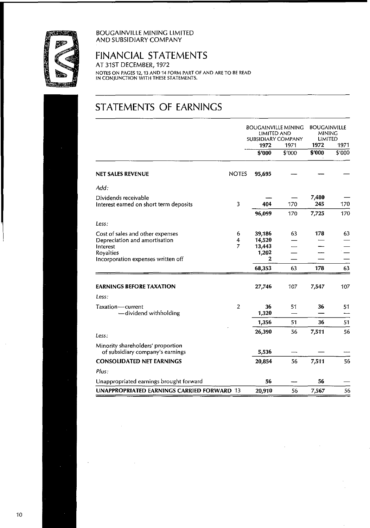

BOUGAINVILLE MINING LIMITED AND SUBSIDIARY COMPANY

FINANCIAL STATEMENTS AT 31ST DECEMBER, 1972 NOTES ON PAGES 12, 13 AND 14 FORM PART OF AND ARE TO BE READ IN CONJUNCTION WITH THESE STATEMENTS.

 $\hat{\mathcal{A}}$ 

# STATEMENTS OF EARNINGS

|                                                                                                                                  |                          | LIMITED AND                              |        | <b>BOUGAINVILLE MINING</b><br><b>BOUGAINVILLE</b><br><b>MINING</b><br>LIMITED<br>SUBSIDIARY COMPANY<br>1972<br>1972<br>1971 |        | 1971 |  |
|----------------------------------------------------------------------------------------------------------------------------------|--------------------------|------------------------------------------|--------|-----------------------------------------------------------------------------------------------------------------------------|--------|------|--|
|                                                                                                                                  |                          | \$'000                                   | \$'000 | \$'000                                                                                                                      | \$'000 |      |  |
| <b>NET SALES REVENUE</b>                                                                                                         | <b>NOTES</b>             | 95,695                                   |        |                                                                                                                             |        |      |  |
| Add.                                                                                                                             |                          |                                          |        |                                                                                                                             |        |      |  |
| Dividends receivable<br>Interest earned on short term deposits                                                                   | 3                        | 404                                      | 170    | 7,480<br>245                                                                                                                | 170    |      |  |
| Less:                                                                                                                            |                          | 96.099                                   | 170    | 7,725                                                                                                                       | 170    |      |  |
| Cost of sales and other expenses<br>Depreciation and amortisation<br>Interest<br>Royalties<br>Incorporation expenses written off | 6<br>4<br>$\overline{7}$ | 39,186<br>14,520<br>13,443<br>1,202<br>2 | 63     | 178                                                                                                                         | 63     |      |  |
|                                                                                                                                  |                          | 68,353                                   | 63     | 178                                                                                                                         | 63     |      |  |
| <b>EARNINGS BEFORE TAXATION</b>                                                                                                  |                          | 27,746                                   | 107    | 7,547                                                                                                                       | 107    |      |  |
| Less.                                                                                                                            |                          |                                          |        |                                                                                                                             |        |      |  |
| Taxation - current<br>-dividend withholding                                                                                      | $\overline{2}$           | 36<br>1,320                              | 51     | 36                                                                                                                          | 51     |      |  |
|                                                                                                                                  |                          | 1,356                                    | 51     | 36                                                                                                                          | 51     |      |  |
| Less:                                                                                                                            |                          | 26,390                                   | 56     | 7,511                                                                                                                       | 56     |      |  |
| Minority shareholders' proportion<br>of subsidiary company's earnings                                                            |                          | 5,536                                    |        |                                                                                                                             |        |      |  |
| <b>CONSOLIDATED NET EARNINGS</b>                                                                                                 |                          | 20,854                                   | 56     | 7,511                                                                                                                       | 56     |      |  |
| Plus:                                                                                                                            |                          |                                          |        |                                                                                                                             |        |      |  |
| Unappropriated earnings brought forward                                                                                          |                          | 56                                       |        | 56                                                                                                                          |        |      |  |
| <b>UNAPPROPRIATED EARNINGS CARRIED FORWARD 13</b>                                                                                |                          | 20,910                                   | 56     | 7,567                                                                                                                       | 56     |      |  |

 $\bar{\beta}$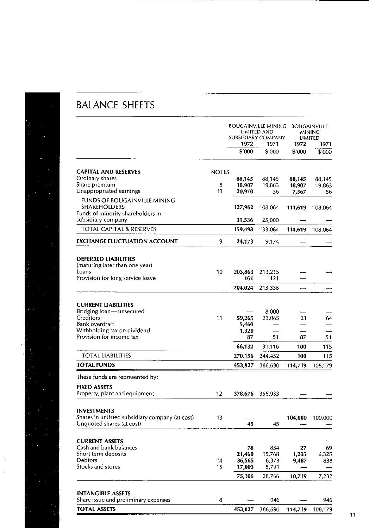# BALANCE SHEETS

|                                                                                                                     |              |                          | BOUGAINVILLE MINING<br>LIMITED AND<br><b>SUBSIDIARY COMPANY</b> |                  | <b>BOUGAINVILLE</b><br><b>MINING</b><br>LIMITED |
|---------------------------------------------------------------------------------------------------------------------|--------------|--------------------------|-----------------------------------------------------------------|------------------|-------------------------------------------------|
|                                                                                                                     |              | 1972<br>\$'000           | 1971<br>\$'000                                                  | 1972<br>\$'000   | 1971<br>\$'000                                  |
| <b>CAPITAL AND RESERVES</b>                                                                                         | <b>NOTES</b> |                          |                                                                 |                  |                                                 |
| Ordinary shares<br>Share premium                                                                                    | 8            | 88,145<br>18,907         | 88,145<br>19,863                                                | 88,145<br>18,907 | 88,145<br>19,863                                |
| Unappropriated earnings                                                                                             | 13           | 20,910                   | 56                                                              | 7,567            | 56                                              |
| FUNDS OF BOUGAINVILLE MINING<br><b>SHAREHOLDERS</b><br>Funds of minority shareholders in                            |              | 127,962                  | 108,064                                                         | 114,619          | 108,064                                         |
| subsidiary company                                                                                                  |              | 31,536                   | 25,000                                                          |                  |                                                 |
| <b>TOTAL CAPITAL &amp; RESERVES</b>                                                                                 |              | 159,498                  | 133,064                                                         | 114,619          | 108,064                                         |
| <b>EXCHANGE FLUCTUATION ACCOUNT</b>                                                                                 | 9            | 24,173                   | 9,174                                                           |                  |                                                 |
| <b>DEFERRED LIABILITIES</b><br>(maturing later than one year)                                                       |              |                          |                                                                 |                  |                                                 |
| Loans<br>Provision for long service leave                                                                           | 10           | 203,863<br>161           | 213,215<br>121                                                  |                  |                                                 |
|                                                                                                                     |              | 204,024                  | 213,336                                                         | ---              |                                                 |
| <b>CURRENT LIABILITIES</b><br>Bridging loan-unsecured<br>Creditors<br>Bank overdraft<br>Withholding tax on dividend | 11           | 59,265<br>5,460<br>1,320 | 8,000<br>23,065                                                 | 13               | 64                                              |
| Provision for income tax                                                                                            |              | 87                       | 51                                                              | 87               | 51                                              |
|                                                                                                                     |              | 66,132                   | 31,116                                                          | 100              | 115                                             |
| <b>TOTAL LIABILITIES</b>                                                                                            |              | 270,156                  | 244,452                                                         | 100              | 115                                             |
| <b>TOTAL FUNDS</b>                                                                                                  |              | 453,827                  | 386,690                                                         | 114,719          | 108,179                                         |
| These funds are represented by:                                                                                     |              |                          |                                                                 |                  |                                                 |
| <b>FIXED ASSETS</b><br>Property, plant and equipment                                                                | 12           | 378,676                  | 356,933                                                         |                  |                                                 |
| <b>INVESTMENTS</b><br>Shares in unlisted subsidiary company (at cost)<br>Unquoted shares (at cost)                  | 13           | 45                       | 45                                                              | 104,000          | 100,000                                         |
| <b>CURRENT ASSETS</b><br>Cash and bank balances                                                                     |              | 78                       | 834                                                             | 27               | 69                                              |
| Short term deposits                                                                                                 |              | 21,460                   | 15,768                                                          | 1,205            | 6,325                                           |
| Debtors<br>Stocks and stores                                                                                        | 14<br>15     | 36,565<br>17,003         | 6,373<br>5,791                                                  | 9,487            | 838                                             |
|                                                                                                                     |              | 75,106                   | 28,766                                                          | 10,719           | 7,232                                           |
| <b>INTANGIBLE ASSETS</b>                                                                                            |              |                          |                                                                 |                  |                                                 |
| Share issue and preliminary expenses                                                                                | 8            |                          | 946                                                             |                  | 946                                             |
| <b>TOTAL ASSETS</b>                                                                                                 |              | 453,827                  | 386,690                                                         | 114,719          | 108,179                                         |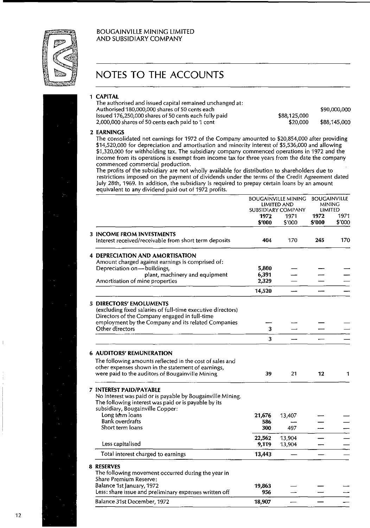

# NOTES TO THE ACCOUNTS

### 1 CAPITAL

| The authorised and issued capital remained unchanged at:<br>Authorised 180,000,000 shares of 50 cents each |                          | \$90,000,000 |
|------------------------------------------------------------------------------------------------------------|--------------------------|--------------|
| Issued 176,250,000 shares of 50 cents each fully paid<br>2,000,000 shares of 50 cents each paid to 1 cent  | \$88.125.000<br>\$20,000 | \$88.145.000 |

### 2 EARNINGS

The consolidated net earnings for 1972 of the Company amounted to \$20,854,000 after providing \$14,520,000 for depreciation and amortisation and minority interest of \$5,536,000 and allowing \$1,320,000 for withholding tax. The subsidiary company commenced operations in 1972 and the income from its operations is exempt from income tax for three years from the date the company commenced commercial production.

The profits of the subsidiary are not wholly available for distribution to shareholders due to restrictions imposed on the payment of dividends under the terms of the Credit Agreement dated July 28th, 1969. In addition, the subsidiary is required to prepay certain loans by an amount equivalent to any dividend paid out of 1972 profits.

|                                                                                                                                                                                                       | <b>BOUGAINVILLE MINING</b><br>LIMITED AND<br>SUBSIDIARY COMPANY |                  | <b>BOUGAINVILLE</b><br>MINING<br>LIMITED |                |
|-------------------------------------------------------------------------------------------------------------------------------------------------------------------------------------------------------|-----------------------------------------------------------------|------------------|------------------------------------------|----------------|
|                                                                                                                                                                                                       | 1972<br>\$000                                                   | 1971<br>\$'000   | 1972<br>\$'000                           | 1971<br>\$'000 |
| 3 INCOME FROM INVESTMENTS<br>Interest received/receivable from short term deposits                                                                                                                    | 404                                                             | 170              | 245                                      | 170            |
| <b>4 DEPRECIATION AND AMORTISATION</b><br>Amount charged against earnings is comprised of:                                                                                                            |                                                                 |                  |                                          |                |
| Depreciation on-buildings,<br>plant, machinery and equipment<br>Amortisation of mine properties                                                                                                       | 5,800<br>6,391<br>2,329                                         |                  |                                          |                |
|                                                                                                                                                                                                       | 14.520                                                          |                  |                                          |                |
| <b>5 DIRECTORS' EMOLUMENTS</b><br>(excluding fixed salaries of full-time executive directors)<br>Directors of the Company engaged in full-time                                                        |                                                                 |                  |                                          |                |
| employment by the Company and its related Companies<br>Other directors                                                                                                                                | 3                                                               |                  |                                          |                |
|                                                                                                                                                                                                       | 3                                                               |                  |                                          |                |
| <b>6 AUDITORS' REMUNERATION</b><br>The following amounts reflected in the cost of sales and<br>other expenses shown in the statement of earnings,<br>were paid to the auditors of Bougainville Mining | 39                                                              | 21               | 12                                       | 1              |
| 7 INTEREST PAID/PAYABLE<br>No interest was paid or is payable by Bougainville Mining.<br>The following interest was paid or is payable by its<br>subsidiary, Bougainville Copper:                     |                                                                 |                  |                                          |                |
| Long term Ioans<br><b>Bank overdrafts</b>                                                                                                                                                             | 21,676                                                          | 13,407           |                                          |                |
| Short term loans                                                                                                                                                                                      | 586<br>300                                                      | 497              |                                          |                |
| Less capitalised                                                                                                                                                                                      | 22,562<br>9,119                                                 | 13,904<br>13,904 |                                          |                |
| Total interest charged to earnings                                                                                                                                                                    | 13,443                                                          |                  |                                          |                |
| 8 RESERVES<br>The following movement occurred during the year in<br>Share Premium Reserve:<br>Balance 1st January, 1972                                                                               |                                                                 |                  |                                          |                |
| Less: share issue and preliminary expenses written off                                                                                                                                                | 19,863<br>956                                                   |                  |                                          |                |
| Balance 31st December, 1972                                                                                                                                                                           | 18,907                                                          |                  |                                          |                |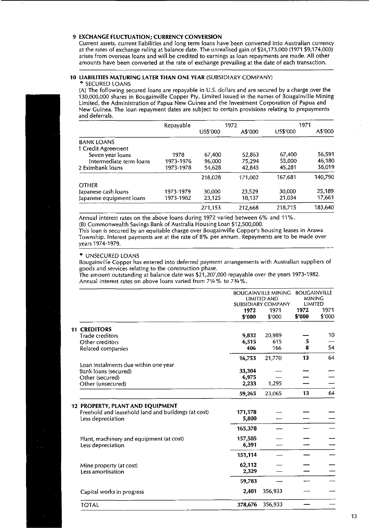### 9 EXCHANGE flUCTUATION; CURRENCY CONVERSION

Current assets, current liabilities and long term loans have been converted into Australian currency at the rates of exchange ruling at balance date. The unrealised gain of \$24,173,000 (1971 \$9,174,000) arises from overseas loans and will be credited to earnings as loan repayments are made. All other amounts have been converted at the rate of exchange prevailing at the date of each transaction.

### 10 LIABILITIES MATURING LATER THAN ONE YEAR (SUBSIDIARY COMPANY)

### • SECURED LOANS

(A) The following secured loans are repayable in U.S. dollars and are secured by a charge over the 130,000,000 shares in Bougainville Copper Pty. Limited issued in the names of Bougainville Mining Limited, the Administration of Papua New Guinea and the Investment Corporation of Papua and New Guinea. The loan repayment dates are subject to certain provisions relating to prepayments and deferrals.

|                          | Repayable |          | 1972    |          | 1971    |
|--------------------------|-----------|----------|---------|----------|---------|
|                          |           | US\$'000 | A\$'000 | US\$'000 | A\$'000 |
| <b>BANK LOANS</b>        |           |          |         |          |         |
| 1 Credit Agreement       |           |          |         |          |         |
| Seven year loans         | 1978      | 67,400   | 52,863  | 67,400   | 56,591  |
| Intermediate term loans  | 1973-1976 | 96,000   | 75.294  | 55,000   | 46,180  |
| 2 Eximbank loans         | 1973-1978 | 54,628   | 42,845  | 45,281   | 38,019  |
|                          |           | 218,028  | 171,002 | 167,681  | 140,790 |
| <b>OTHER</b>             |           |          |         |          |         |
| Japanese cash loans      | 1973-1979 | 30,000   | 23,529  | 30,000   | 25 189  |
| Japanese equipment loans | 1973-1982 | 23,125   | 18.137  | 21,034   | 17,661  |
|                          |           | 271.153  | 212,668 | 218,715  | 183.640 |

Annual interest rates on the above loans during 1972 varied between 6% ·and 11%. (B) Commonwealth Savings Bank of Australia Housing Loan \$12,500,000.

This loan is secured by an equitable charge over Bougainville Copper's housing leases in Arawa Township. Interest payments are at the rate of 8% per annum. Repayments are to be made over years 1974-1979.

### o UNSECURED LOANS

Bougainville Copper has entered into deferred payment arrangements with Australian suppliers of goods and services relating to the construction phase.

The amount outstanding at balance date was \$21,207,000 repayable over the years 1973-1982. Annual interest rates on above loans varied from 71/4 % to 7% %.

|                                                     |                | <b>BOUGAINVILLE MINING</b><br>LIMITED AND<br>SUBSIDIARY COMPANY | <b>BOUGAINVILLE</b><br><b>MINING</b><br>LIMITED |                |
|-----------------------------------------------------|----------------|-----------------------------------------------------------------|-------------------------------------------------|----------------|
|                                                     | 1972<br>\$'000 | 1971<br>\$′000                                                  | 1972<br>\$'000                                  | 1971<br>\$'000 |
| <b>11 CREDITORS</b>                                 |                |                                                                 |                                                 |                |
| <b>Trade creditors</b>                              | 9,832          | 20,989                                                          |                                                 | 10             |
| Other creditors                                     | 6,515          | 615                                                             | 5                                               |                |
| Related companies                                   | 406            | 166                                                             | 8                                               | 54             |
|                                                     | 16,753         | 21,770                                                          | 13                                              | 64             |
| Loan instalments due within one year                |                |                                                                 |                                                 |                |
| Bank loans (secured)                                | 33,304         |                                                                 |                                                 |                |
| Other (secured)                                     | 6,975          |                                                                 |                                                 |                |
| Other (unsecured)                                   | 2,233          | 1,295                                                           |                                                 |                |
|                                                     | 59,265         | 23,065                                                          | 13                                              | 64             |
| 12 PROPERTY, PLANT AND EQUIPMENT                    |                |                                                                 |                                                 |                |
| Freehold and leasehold land and buildings (at cost) | 171,178        |                                                                 |                                                 |                |
| Less depreciation                                   | 5,800          |                                                                 |                                                 |                |
|                                                     | 165,378        |                                                                 |                                                 |                |
| Plant, machinery and equipment (at cost)            | 157,505        |                                                                 |                                                 |                |
| Less depreciation                                   | 6,391          |                                                                 |                                                 |                |
|                                                     | 151,114        |                                                                 |                                                 |                |
| Mine property (at cost)                             | 62,112         |                                                                 |                                                 |                |
| Less amortisation                                   | 2,329          |                                                                 |                                                 |                |
|                                                     | 59,783         |                                                                 |                                                 |                |
| Capital works in progress                           | 2,401          | 356.933                                                         |                                                 |                |
| <b>TOTAL</b>                                        | 378,676        | 356.933                                                         |                                                 |                |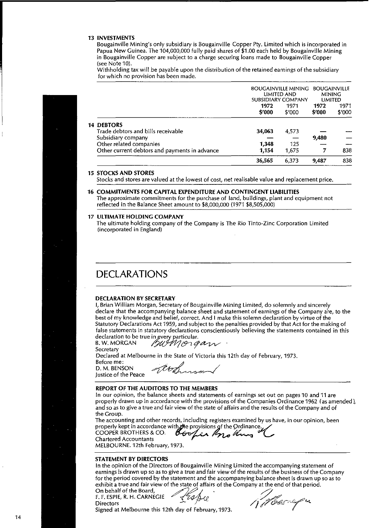### 13 INVESTMENTS

Bougainville Mining's only subsidiary is Bougainville Copper Ply. Limited which is incorporated in Papua New Guinea. The 104,000,000 fully paid shares of \$1.00 each held by Bougainville Mining in Bougainville Copper are subject to a charge securing loans made to Bougainville Copper (see Note 10).

Withholding tax will be payable upon the distribution of the retained earnings of the subsidiary for which no provision has been made.

|                                                         | <b>BOUGAINVILLE MINING BOUGAINVILLE</b><br>LIMITED AND<br>SUBSIDIARY COMPANY |                | <b>MINING</b><br><b>LIMITED</b> |                |
|---------------------------------------------------------|------------------------------------------------------------------------------|----------------|---------------------------------|----------------|
|                                                         | 1972<br>\$'000                                                               | 1971<br>\$'000 | 1972<br>\$'000                  | 1971<br>\$'000 |
| <b>14 DEBTORS</b><br>Trade debtors and bills receivable | 34,063                                                                       | 4,573          |                                 |                |
| Subsidiary company                                      |                                                                              |                | 9,480                           |                |
| Other related companies                                 | 1,348                                                                        | 125            |                                 |                |
| Other current debtors and payments in advance           | 1.154                                                                        | 1.675          |                                 | 838            |
|                                                         | 36,565                                                                       | 6.373          | 9,487                           | 838            |

#### 15 STOCKS AND STORES

Stocks and stores are valued at the lowest of cost, net realisable value and replacement price.

16 COMMITMENTS FOR CAPITAL EXPENDITURE AND CONTINGENT LIABILITIES The approximate commitments for the purchase of land, buildings, plant and equipment not reflected in the Balance Sheet amount to \$8,000,000 (1971 \$8,505,000)

#### 17 ULTIMATE HOLDING COMPANY

The ultimate holding company of the Company is The Rio Tinto-Zinc Corporation Limited (incorporated in England)

### DECLARATIONS

#### DECLARATION BY SECRETARY

I, Brian William Morgan, Secretary of Bougainville Mining Limited, do solemnly and sincerely declare that the accompanying balance sheet and statement of earnings of the Company are, to the best of my knowledge and belief, correct. And I make this solemn declaration by virtue of the Statutory Declarations Act 1959, and subject to the penalties provided by that Act for the making of false statements in statutory declarations conscientiously believing the statements contained in this declaration to be true in every particular.<br>B. W. MORGAN

B. W. MORGAN /JUMO19an

Declared at Melbourne in the State of Victoria this 12th day of February, 1973. B. W. MORGAN *HUMO gaw*<br>Secretary<br>Declared at Melbourne in the State of Victoria t<br>Before me: <br>D. M. BENSON Allows

Justice of the Peace

### REPORT OF THE AUDITORS TO THE MEMBERS

In our opinion, the balance sheets and statements of earnings set out on pages 10 and 11 are properly drawn up in accordance with the provisions of the Companies Ordinance 1962 (as amended), and so as to give a true and fair view of the state of affairs and the results of the Company and of the Group.

The accounting and other records, including registers examined by us have, in our opinion, been

The accounting and other records, including registers examined by us h<br>properly kept in accordance with the provisions of the Ordinance.<br>COOPER BROTHERS & CO. ... Company, 1973.<br>MELBOURNE. 12th February, 1973.

Signed at Melbourne this 12th day of February, 1973.

### STATEMENT BY DIRECTORS

In the opinion of the Directors of Bougainville Mining Limited the accompanying statement of earnings is drawn up so as to give a true and fair view of the results of the business of the Company for the period covered by the statement and the accompanying balance sheet is drawn up so as to exhibit a true and fair view of the state of affairs of the Company at the end of that period.<br>On behalf of the Board, In the opinion of the Directors of Bougainville Mining Limited the accon<br>earnings is drawn up so as to give a true and fair view of the results of the<br>for the period covered by the statement and the accompanying balance<br>e

F. F. ESPIE, R. H. CARNEGIE.<br>Directors

/j / berg

14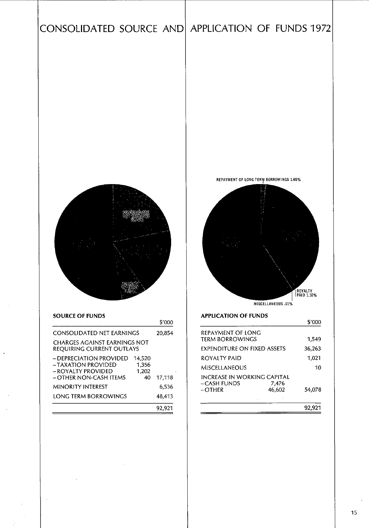

15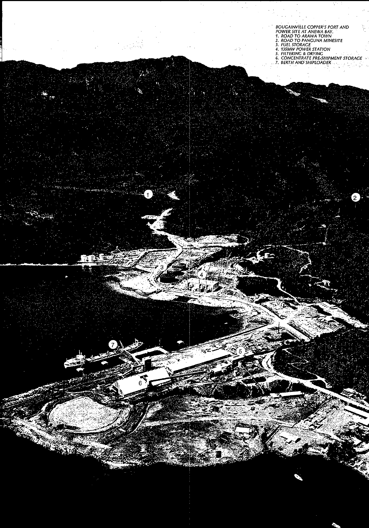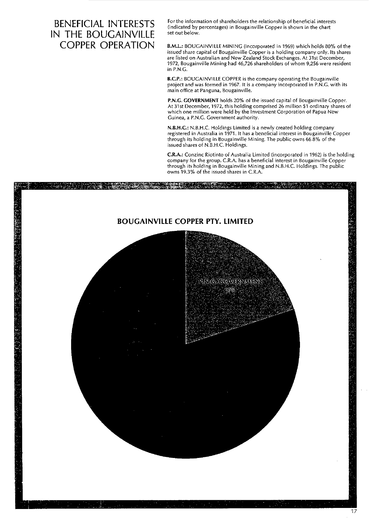### BENEFICIAL INTERESTS IN THE BOUGAINVILLE COPPER OPERATION

For the information of shareholders the relationship of beneficial interests (indicated by percentages) in Bougainville Copper is shown in the chart set out below.

B.M.L.: BOUGAINVlllE MINING (incorporated in 1969) which holds 80% of the issued share capital of Bougainville Copper is a holding company only. Its shares are listed on Australian and New Zealand Stock Exchanges. At 31st December, 1972, Bougainville Mining had 46,726 shareholders of whom 9,256 were resident in P.N.G.

R.C.P.: BOUGA1NVILLE COPPER is the company operating the Bougainville project and was formed in 1967. It is a company incorporated in P.N.G. with its main office at Panguna, Bougainville.

P.N.G. **GOVERNMENT** holds 20% of the issued capital of Bougainville Copper. At 31st December, 1972, this holding comprised 26 million \$1 ordinary shares of which one million were held by the Investment Corporation of Papua New Guinea, a P.N.G. Government authority.

**N.B.H.C.:** N.B.H.C. Holdings Limited is a newly created holding company registered in Australia in 1971. It has a beneficial interest in Bougainville Copper through its holding in Bougainville Mining. The public owns 66.8% of the issued shares of N.B.H.C. Holdings.

C.R.A.: Conzinc Riotinto of Australia Limited (incorporated in 1962) is the holding company for the group. CR.A. has a beneficial interest in Bougainville Copper through its holding in Bougainville Mining and N.B.H.C Holdings. The public owns 19.3% of the issued shares in CR.A.

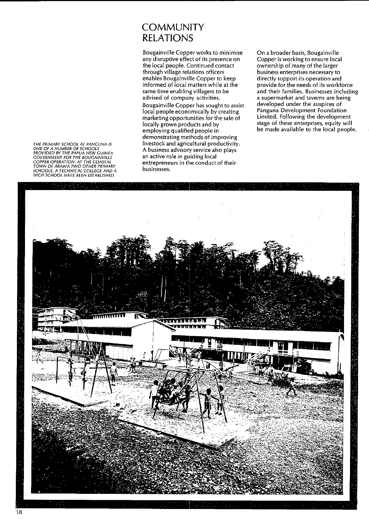## **COMMUNITY RELATIONS**

**Bougainville Copper works to minimise any disruptive effect of its presence on**  the local people. Continued contact through village relations officers enables Bougainville Copper to keep informed of local matters while at the **same time enabling villagers to be advised of company activities.**  Bougainville Copper has sought to assist **local people economically by creating**  marketing opportunities for the sale of locally grown products and by employing qualified people in demonstrating methods of improving livestock and agricultural productivity. **A business advisory service also plays an active role in guiding local entrepreneurs in the conduct of their businesses.** 

On a broader basis, Bougainville **Copper is working to ensure local**  ownership of many of the larger **business enterprises necessary to directly support its operation and**  provide for the needs of its workforce **and their families. Businesses including a supermarket and taverns are being**  developed under the auspices of **Panguna Development Foundation**  Limited. Following the development stage of these enterprises, equity will be made available to the local people.



THE PRIMARY SCHOOL AT PANGUNA IS<br>ONE OF A NUMBER OF SCHOOLS<br>PROVIDED BY THE PAPUA NEW GUINEA<br>COVERNMENT FOR THE BOUGAINVILLE<br>COPPER OPERATION. AT THE COASTAL<br>TOWN OF ARAWA TWO OTHER PRIMARY<br>SCHOOLS, A TECHNICAL COLLECE AND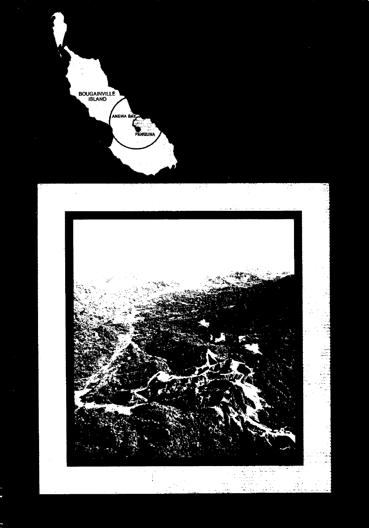



ú t.<br>Rođen l.